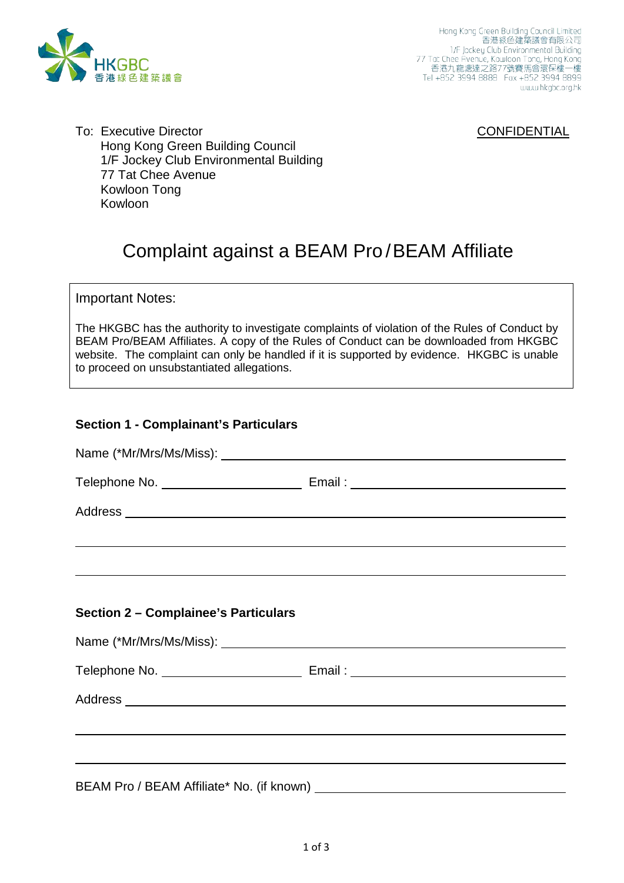

Hong Kong Green Building Council Limited<br>香港線色建築議會有限公司 1/F Jockey Club Environmental Building 77 Tat Chee Ávenue, Kowloon Tong, Hong Kong - Technology.com<br>- 香港九龍塘達之路77號賽馬會環保樓一樓<br>Tel +852 3994 8888 Fax +852 3994 8899 www.hkgbc.org.hk

To: Executive Director CONFIDENTIAL Hong Kong Green Building Council 1/F Jockey Club Environmental Building 77 Tat Chee Avenue Kowloon Tong Kowloon

# Complaint against a BEAM Pro /BEAM Affiliate

Important Notes:

The HKGBC has the authority to investigate complaints of violation of the Rules of Conduct by BEAM Pro/BEAM Affiliates. A copy of the Rules of Conduct can be downloaded from HKGBC website. The complaint can only be handled if it is supported by evidence. HKGBC is unable to proceed on unsubstantiated allegations.

#### **Section 1 - Complainant's Particulars**

|                                             | <u> 2000 - Jan Barat de Barat de la Barat de la Barat de la Barat de la Barat de la Barat de la Barat de la Bara</u>                                                                                                                 |
|---------------------------------------------|--------------------------------------------------------------------------------------------------------------------------------------------------------------------------------------------------------------------------------------|
|                                             | <u> 2000 - Andrea Andrew Amerikaanse kommunister († 1950)</u>                                                                                                                                                                        |
| <b>Section 2 - Complainee's Particulars</b> |                                                                                                                                                                                                                                      |
|                                             |                                                                                                                                                                                                                                      |
|                                             |                                                                                                                                                                                                                                      |
|                                             |                                                                                                                                                                                                                                      |
|                                             | <u> 2000 - Andrea Andrewski, američki politik († 18. února 18. února 18. února 18. února 18. února 18. února 18.</u>                                                                                                                 |
|                                             | <u>a sa mga bagayan ng mga bagayang ng mga bagayang ng mga bagayang ng mga bagayang ng mga bagayang ng mga bagayang ng mga bagayang ng mga bagayang ng mga bagayang ng mga bagayang ng mga bagayang ng mga bagayang ng mga bagay</u> |
|                                             |                                                                                                                                                                                                                                      |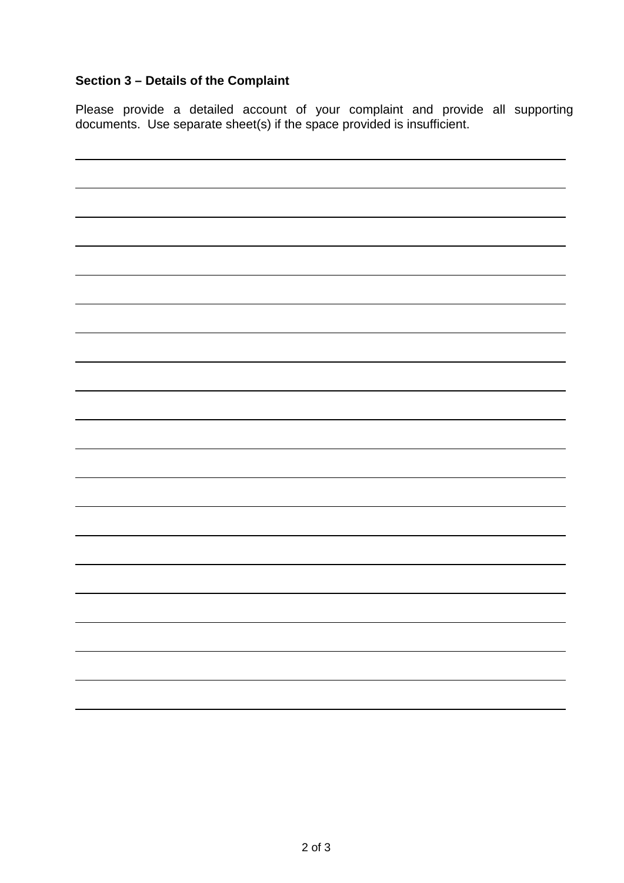## **Section 3 – Details of the Complaint**

Please provide a detailed account of your complaint and provide all supporting documents. Use separate sheet(s) if the space provided is insufficient.